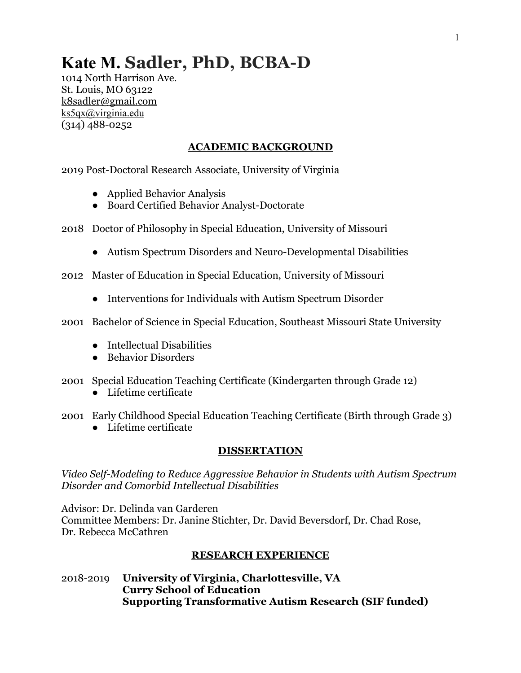# **Kate M. Sadler, PhD, BCBA-D**

1014 North Harrison Ave. St. Louis, MO 63122 k8sadler@gmail.com ks5qx@virginia.edu (314) 488-0252

# **ACADEMIC BACKGROUND**

2019 Post-Doctoral Research Associate, University of Virginia

- Applied Behavior Analysis
- Board Certified Behavior Analyst-Doctorate
- 2018 Doctor of Philosophy in Special Education, University of Missouri
	- Autism Spectrum Disorders and Neuro-Developmental Disabilities
- 2012 Master of Education in Special Education, University of Missouri
	- Interventions for Individuals with Autism Spectrum Disorder
- 2001 Bachelor of Science in Special Education, Southeast Missouri State University
	- Intellectual Disabilities
	- Behavior Disorders
- 2001 Special Education Teaching Certificate (Kindergarten through Grade 12)
	- Lifetime certificate
- 2001 Early Childhood Special Education Teaching Certificate (Birth through Grade 3)
	- Lifetime certificate

# **DISSERTATION**

*Video Self-Modeling to Reduce Aggressive Behavior in Students with Autism Spectrum Disorder and Comorbid Intellectual Disabilities*

Advisor: Dr. Delinda van Garderen Committee Members: Dr. Janine Stichter, Dr. David Beversdorf, Dr. Chad Rose, Dr. Rebecca McCathren

# **RESEARCH EXPERIENCE**

2018-2019 **University of Virginia, Charlottesville, VA Curry School of Education Supporting Transformative Autism Research (SIF funded)**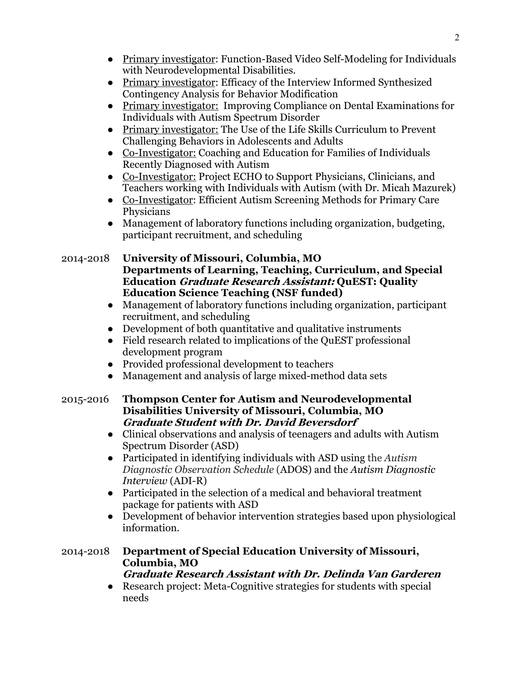- Primary investigator: Function-Based Video Self-Modeling for Individuals with Neurodevelopmental Disabilities*.*
- Primary investigator: Efficacy of the Interview Informed Synthesized Contingency Analysis for Behavior Modification
- Primary investigator: Improving Compliance on Dental Examinations for Individuals with Autism Spectrum Disorder
- Primary investigator: The Use of the Life Skills Curriculum to Prevent Challenging Behaviors in Adolescents and Adults
- Co-Investigator: Coaching and Education for Families of Individuals Recently Diagnosed with Autism
- Co-Investigator: Project ECHO to Support Physicians, Clinicians, and Teachers working with Individuals with Autism (with Dr. Micah Mazurek)
- Co-Investigator: Efficient Autism Screening Methods for Primary Care Physicians
- Management of laboratory functions including organization, budgeting, participant recruitment, and scheduling

# 2014-2018 **University of Missouri, Columbia, MO Departments of Learning, Teaching, Curriculum, and Special Education Graduate Research Assistant: QuEST: Quality Education Science Teaching (NSF funded)**

- Management of laboratory functions including organization, participant recruitment, and scheduling
- Development of both quantitative and qualitative instruments
- Field research related to implications of the QuEST professional development program
- Provided professional development to teachers
- Management and analysis of large mixed-method data sets

# 2015-2016 **Thompson Center for Autism and Neurodevelopmental Disabilities University of Missouri, Columbia, MO Graduate Student with Dr. David Beversdorf**

- Clinical observations and analysis of teenagers and adults with Autism Spectrum Disorder (ASD)
- Participated in identifying individuals with ASD using the *Autism Diagnostic Observation Schedule* (ADOS) and the *Autism Diagnostic Interview* (ADI-R)
- Participated in the selection of a medical and behavioral treatment package for patients with ASD
- Development of behavior intervention strategies based upon physiological information.

# 2014-2018 **Department of Special Education University of Missouri, Columbia, MO**

**Graduate Research Assistant with Dr. Delinda Van Garderen**

● Research project: Meta-Cognitive strategies for students with special needs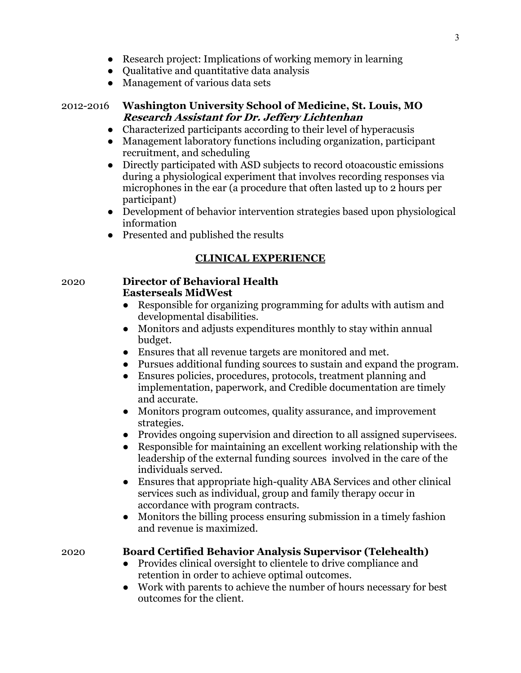- Research project: Implications of working memory in learning
- Qualitative and quantitative data analysis
- Management of various data sets

# 2012-2016 **Washington University School of Medicine, St. Louis, MO Research Assistant for Dr. Jeffery Lichtenhan**

- Characterized participants according to their level of hyperacusis
- Management laboratory functions including organization, participant recruitment, and scheduling
- Directly participated with ASD subjects to record otoacoustic emissions during a physiological experiment that involves recording responses via microphones in the ear (a procedure that often lasted up to 2 hours per participant)
- Development of behavior intervention strategies based upon physiological information
- Presented and published the results

# **CLINICAL EXPERIENCE**

#### 2020 **Director of Behavioral Health Easterseals MidWest**

- Responsible for organizing programming for adults with autism and developmental disabilities.
- Monitors and adjusts expenditures monthly to stay within annual budget.
- Ensures that all revenue targets are monitored and met.
- Pursues additional funding sources to sustain and expand the program.
- Ensures policies, procedures, protocols, treatment planning and implementation, paperwork, and Credible documentation are timely and accurate.
- Monitors program outcomes, quality assurance, and improvement strategies.
- Provides ongoing supervision and direction to all assigned supervisees.
- Responsible for maintaining an excellent working relationship with the leadership of the external funding sources involved in the care of the individuals served.
- Ensures that appropriate high-quality ABA Services and other clinical services such as individual, group and family therapy occur in accordance with program contracts.
- Monitors the billing process ensuring submission in a timely fashion and revenue is maximized.

# 2020 **Board Certified Behavior Analysis Supervisor (Telehealth)**

- Provides clinical oversight to clientele to drive compliance and retention in order to achieve optimal outcomes.
- Work with parents to achieve the number of hours necessary for best outcomes for the client.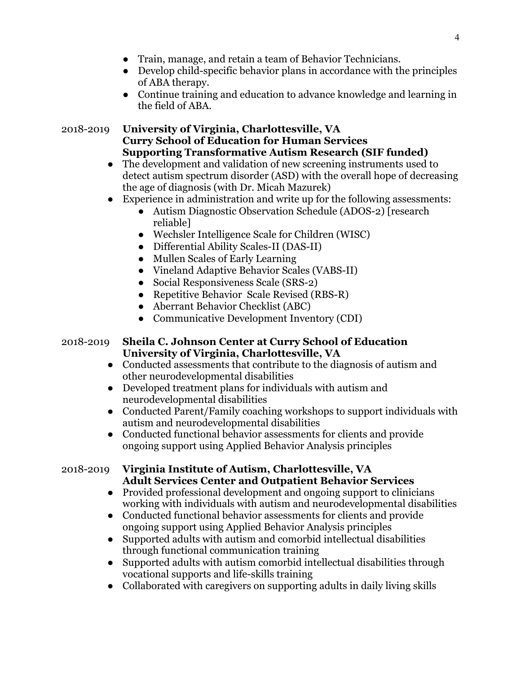- Train, manage, and retain a team of Behavior Technicians.
- Develop child-specific behavior plans in accordance with the principles of ABA therapy.
- Continue training and education to advance knowledge and learning in the field of ABA.

# 2018-2019 **University of Virginia, Charlottesville, VA Curry School of Education for Human Services Supporting Transformative Autism Research (SIF funded)**

- The development and validation of new screening instruments used to detect autism spectrum disorder (ASD) with the overall hope of decreasing the age of diagnosis (with Dr. Micah Mazurek)
- Experience in administration and write up for the following assessments:
	- Autism Diagnostic Observation Schedule (ADOS-2) [research reliable]
	- Wechsler Intelligence Scale for Children (WISC)
	- Differential Ability Scales-II (DAS-II)
	- Mullen Scales of Early Learning
	- Vineland Adaptive Behavior Scales (VABS-II)
	- Social Responsiveness Scale (SRS-2)
	- Repetitive Behavior Scale Revised (RBS-R)
	- Aberrant Behavior Checklist (ABC)
	- Communicative Development Inventory (CDI)

# 2018-2019 **Sheila C. Johnson Center at Curry School of Education University of Virginia, Charlottesville, VA**

- Conducted assessments that contribute to the diagnosis of autism and other neurodevelopmental disabilities
- Developed treatment plans for individuals with autism and neurodevelopmental disabilities
- Conducted Parent/Family coaching workshops to support individuals with autism and neurodevelopmental disabilities
- Conducted functional behavior assessments for clients and provide ongoing support using Applied Behavior Analysis principles

# 2018-2019 **Virginia Institute of Autism, Charlottesville, VA Adult Services Center and Outpatient Behavior Services**

- Provided professional development and ongoing support to clinicians working with individuals with autism and neurodevelopmental disabilities
- Conducted functional behavior assessments for clients and provide ongoing support using Applied Behavior Analysis principles
- Supported adults with autism and comorbid intellectual disabilities through functional communication training
- Supported adults with autism comorbid intellectual disabilities through vocational supports and life-skills training
- Collaborated with caregivers on supporting adults in daily living skills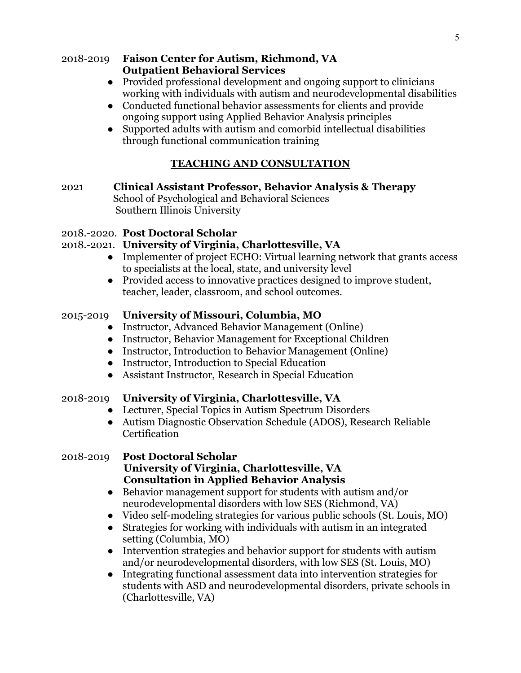#### 2018-2019 **Faison Center for Autism, Richmond, VA Outpatient Behavioral Services**

- Provided professional development and ongoing support to clinicians working with individuals with autism and neurodevelopmental disabilities
- Conducted functional behavior assessments for clients and provide ongoing support using Applied Behavior Analysis principles
- Supported adults with autism and comorbid intellectual disabilities through functional communication training

# **TEACHING AND CONSULTATION**

2021 **Clinical Assistant Professor, Behavior Analysis & Therapy**  School of Psychological and Behavioral Sciences Southern Illinois University

# 2018.-2020. **Post Doctoral Scholar**

# 2018.-2021. **University of Virginia, Charlottesville, VA**

- Implementer of project ECHO: Virtual learning network that grants access to specialists at the local, state, and university level
- Provided access to innovative practices designed to improve student, teacher, leader, classroom, and school outcomes.

# 2015-2019 **University of Missouri, Columbia, MO**

- Instructor, Advanced Behavior Management (Online)
- Instructor, Behavior Management for Exceptional Children
- Instructor, Introduction to Behavior Management (Online)
- Instructor, Introduction to Special Education
- Assistant Instructor, Research in Special Education

# 2018-2019 **University of Virginia, Charlottesville, VA**

- Lecturer, Special Topics in Autism Spectrum Disorders
- Autism Diagnostic Observation Schedule (ADOS), Research Reliable **Certification**

#### 2018-2019 **Post Doctoral Scholar University of Virginia, Charlottesville, VA Consultation in Applied Behavior Analysis**

- Behavior management support for students with autism and/or neurodevelopmental disorders with low SES (Richmond, VA)
- Video self-modeling strategies for various public schools (St. Louis, MO)
- Strategies for working with individuals with autism in an integrated setting (Columbia, MO)
- Intervention strategies and behavior support for students with autism and/or neurodevelopmental disorders, with low SES (St. Louis, MO)
- Integrating functional assessment data into intervention strategies for students with ASD and neurodevelopmental disorders, private schools in (Charlottesville, VA)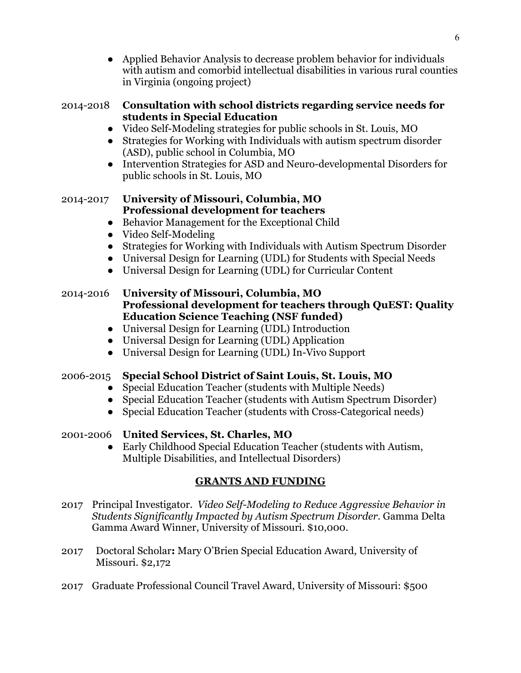● Applied Behavior Analysis to decrease problem behavior for individuals with autism and comorbid intellectual disabilities in various rural counties in Virginia (ongoing project)

# 2014-2018 **Consultation with school districts regarding service needs for students in Special Education**

- Video Self-Modeling strategies for public schools in St. Louis, MO
- Strategies for Working with Individuals with autism spectrum disorder (ASD), public school in Columbia, MO
- Intervention Strategies for ASD and Neuro-developmental Disorders for public schools in St. Louis, MO

# 2014-2017 **University of Missouri, Columbia, MO Professional development for teachers**

- Behavior Management for the Exceptional Child
- Video Self-Modeling
- Strategies for Working with Individuals with Autism Spectrum Disorder
- Universal Design for Learning (UDL) for Students with Special Needs
- Universal Design for Learning (UDL) for Curricular Content

# 2014-2016 **University of Missouri, Columbia, MO Professional development for teachers through QuEST: Quality Education Science Teaching (NSF funded)**

- Universal Design for Learning (UDL) Introduction
- Universal Design for Learning (UDL) Application
- Universal Design for Learning (UDL) In-Vivo Support

# 2006-2015 **Special School District of Saint Louis, St. Louis, MO**

- Special Education Teacher (students with Multiple Needs)
- Special Education Teacher (students with Autism Spectrum Disorder)
- Special Education Teacher (students with Cross-Categorical needs)

# 2001-2006 **United Services, St. Charles, MO**

● Early Childhood Special Education Teacher (students with Autism, Multiple Disabilities, and Intellectual Disorders)

# **GRANTS AND FUNDING**

- 2017 Principal Investigator. *Video Self-Modeling to Reduce Aggressive Behavior in Students Significantly Impacted by Autism Spectrum Disorder.* Gamma Delta Gamma Award Winner, University of Missouri. \$10,000.
- 2017 Doctoral Scholar**:** Mary O'Brien Special Education Award, University of Missouri. \$2,172
- 2017 Graduate Professional Council Travel Award, University of Missouri: \$500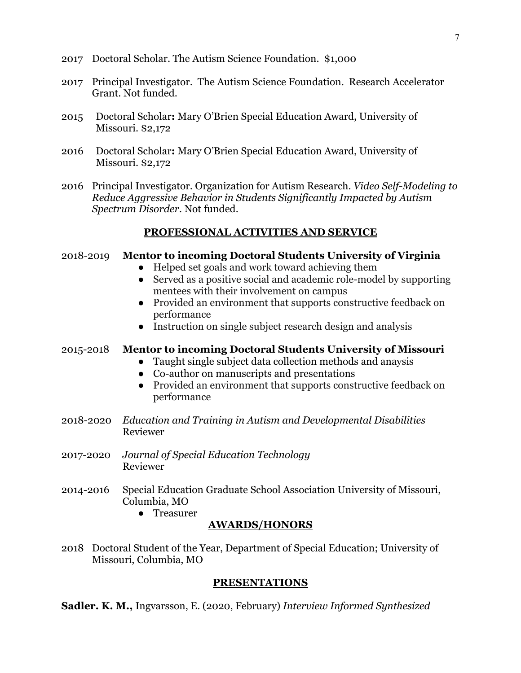- 2017 Doctoral Scholar. The Autism Science Foundation. \$1,000
- 2017 Principal Investigator. The Autism Science Foundation. Research Accelerator Grant. Not funded.
- 2015 Doctoral Scholar**:** Mary O'Brien Special Education Award, University of Missouri. \$2,172
- 2016 Doctoral Scholar**:** Mary O'Brien Special Education Award, University of Missouri. \$2,172
- 2016 Principal Investigator. Organization for Autism Research. *Video Self-Modeling to Reduce Aggressive Behavior in Students Significantly Impacted by Autism Spectrum Disorder.* Not funded.

# **PROFESSIONAL ACTIVITIES AND SERVICE**

#### 2018-2019 **Mentor to incoming Doctoral Students University of Virginia**

- Helped set goals and work toward achieving them
- Served as a positive social and academic role-model by supporting mentees with their involvement on campus
- Provided an environment that supports constructive feedback on performance
- Instruction on single subject research design and analysis

#### 2015-2018 **Mentor to incoming Doctoral Students University of Missouri**

- Taught single subject data collection methods and anaysis
- Co-author on manuscripts and presentations
- Provided an environment that supports constructive feedback on performance
- 2018-2020 *Education and Training in Autism and Developmental Disabilities* Reviewer
- 2017-2020 *Journal of Special Education Technology* Reviewer
- 2014-2016 Special Education Graduate School Association University of Missouri, Columbia, MO
	- Treasurer

# **AWARDS/HONORS**

2018 Doctoral Student of the Year, Department of Special Education; University of Missouri, Columbia, MO

#### **PRESENTATIONS**

**Sadler. K. M.,** Ingvarsson, E. (2020, February) *Interview Informed Synthesized*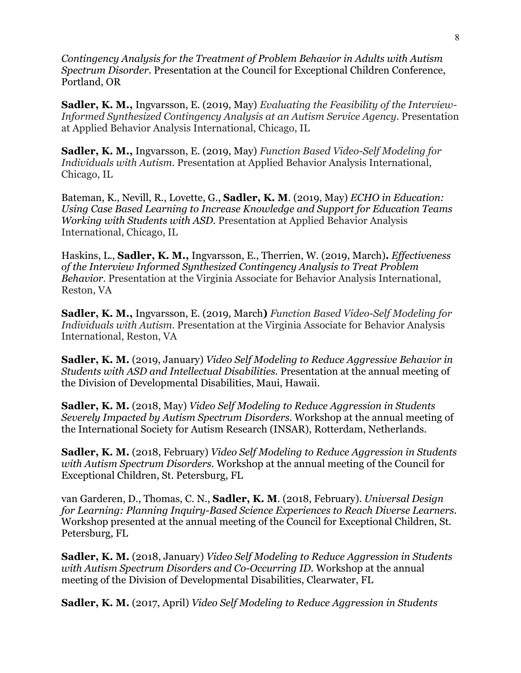*Contingency Analysis for the Treatment of Problem Behavior in Adults with Autism Spectrum Disorder.* Presentation at the Council for Exceptional Children Conference, Portland, OR

**Sadler, K. M.,** Ingvarsson, E. (2019, May) *Evaluating the Feasibility of the Interview-Informed Synthesized Contingency Analysis at an Autism Service Agency*. Presentation at Applied Behavior Analysis International, Chicago, IL

**Sadler, K. M.,** Ingvarsson, E. (2019, May) *Function Based Video-Self Modeling for Individuals with Autism.* Presentation at Applied Behavior Analysis International, Chicago, IL

Bateman, K., Nevill, R., Lovette, G., **Sadler, K. M**. (2019, May) *ECHO in Education: Using Case Based Learning to Increase Knowledge and Support for Education Teams Working with Students with ASD.* Presentation at Applied Behavior Analysis International, Chicago, IL

Haskins, L., **Sadler, K. M.,** Ingvarsson, E., Therrien, W. (2019, March)**.** *Effectiveness of the Interview Informed Synthesized Contingency Analysis to Treat Problem Behavior*. Presentation at the Virginia Associate for Behavior Analysis International, Reston, VA

**Sadler, K. M.,** Ingvarsson, E. (2019, March**)** *Function Based Video-Self Modeling for Individuals with Autism.* Presentation at the Virginia Associate for Behavior Analysis International, Reston, VA

**Sadler, K. M.** (2019, January) *Video Self Modeling to Reduce Aggressive Behavior in Students with ASD and Intellectual Disabilities.* Presentation at the annual meeting of the Division of Developmental Disabilities, Maui, Hawaii.

**Sadler, K. M.** (2018, May) *Video Self Modeling to Reduce Aggression in Students Severely Impacted by Autism Spectrum Disorders.* Workshop at the annual meeting of the International Society for Autism Research (INSAR), Rotterdam, Netherlands.

**Sadler, K. M.** (2018, February) *Video Self Modeling to Reduce Aggression in Students with Autism Spectrum Disorders.* Workshop at the annual meeting of the Council for Exceptional Children, St. Petersburg, FL

van Garderen, D., Thomas, C. N., **Sadler, K. M**. (2018, February). *Universal Design for Learning: Planning Inquiry-Based Science Experiences to Reach Diverse Learners.*  Workshop presented at the annual meeting of the Council for Exceptional Children, St. Petersburg, FL

**Sadler, K. M.** (2018, January) *Video Self Modeling to Reduce Aggression in Students with Autism Spectrum Disorders and Co-Occurring ID.* Workshop at the annual meeting of the Division of Developmental Disabilities, Clearwater, FL

**Sadler, K. M.** (2017, April) *Video Self Modeling to Reduce Aggression in Students*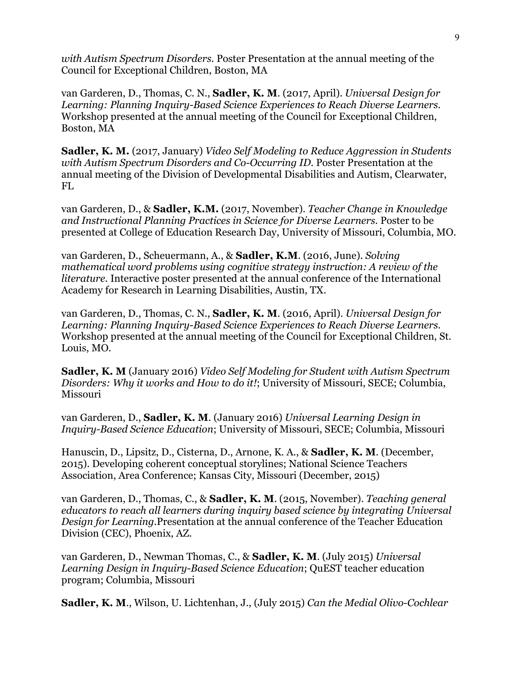*with Autism Spectrum Disorders.* Poster Presentation at the annual meeting of the Council for Exceptional Children, Boston, MA

van Garderen, D., Thomas, C. N., **Sadler, K. M**. (2017, April). *Universal Design for Learning: Planning Inquiry-Based Science Experiences to Reach Diverse Learners.*  Workshop presented at the annual meeting of the Council for Exceptional Children, Boston, MA

**Sadler, K. M.** (2017, January) *Video Self Modeling to Reduce Aggression in Students with Autism Spectrum Disorders and Co-Occurring ID.* Poster Presentation at the annual meeting of the Division of Developmental Disabilities and Autism, Clearwater, FL

van Garderen, D., & **Sadler, K.M.** (2017, November). *Teacher Change in Knowledge and Instructional Planning Practices in Science for Diverse Learners.* Poster to be presented at College of Education Research Day, University of Missouri, Columbia, MO.

van Garderen, D., Scheuermann, A., & **Sadler, K.M**. (2016, June). *Solving mathematical word problems using cognitive strategy instruction: A review of the literature.* Interactive poster presented at the annual conference of the International Academy for Research in Learning Disabilities, Austin, TX.

van Garderen, D., Thomas, C. N., **Sadler, K. M**. (2016, April). *Universal Design for Learning: Planning Inquiry-Based Science Experiences to Reach Diverse Learners.*  Workshop presented at the annual meeting of the Council for Exceptional Children, St. Louis, MO.

**Sadler, K. M** (January 2016) *Video Self Modeling for Student with Autism Spectrum Disorders: Why it works and How to do it!*; University of Missouri, SECE; Columbia, Missouri

van Garderen, D., **Sadler, K. M**. (January 2016) *Universal Learning Design in Inquiry-Based Science Education*; University of Missouri, SECE; Columbia, Missouri

Hanuscin, D., Lipsitz, D., Cisterna, D., Arnone, K. A., & **Sadler, K. M**. (December, 2015). Developing coherent conceptual storylines; National Science Teachers Association, Area Conference; Kansas City, Missouri (December, 2015)

van Garderen, D., Thomas, C., & **Sadler, K. M**. (2015, November). *Teaching general educators to reach all learners during inquiry based science by integrating Universal Design for Learning.*Presentation at the annual conference of the Teacher Education Division (CEC), Phoenix, AZ.

van Garderen, D., Newman Thomas, C., & **Sadler, K. M**. (July 2015) *Universal Learning Design in Inquiry-Based Science Education*; QuEST teacher education program; Columbia, Missouri

**Sadler, K. M**., Wilson, U. Lichtenhan, J., (July 2015) *Can the Medial Olivo-Cochlear*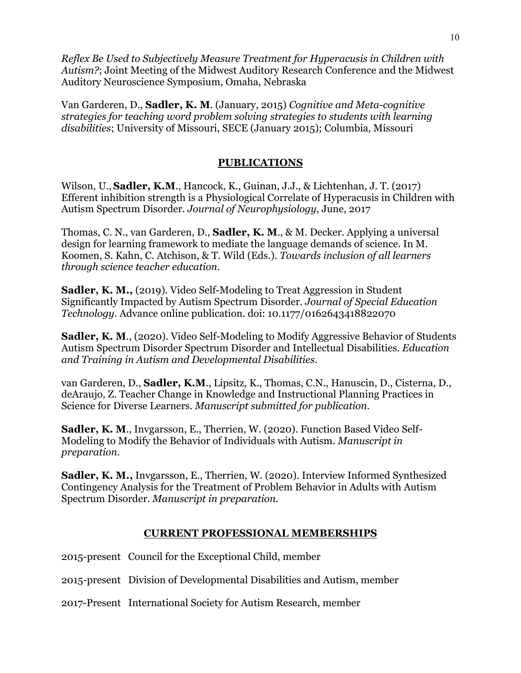*Reflex Be Used to Subjectively Measure Treatment for Hyperacusis in Children with Autism?*; Joint Meeting of the Midwest Auditory Research Conference and the Midwest Auditory Neuroscience Symposium, Omaha, Nebraska

Van Garderen, D., **Sadler, K. M**. (January, 2015) *Cognitive and Meta-cognitive strategies for teaching word problem solving strategies to students with learning disabilities*; University of Missouri, SECE (January 2015); Columbia, Missouri

# **PUBLICATIONS**

Wilson, U.,**Sadler, K.M**., Hancock, K., Guinan, J.J., & Lichtenhan, J. T. (2017) Efferent inhibition strength is a Physiological Correlate of Hyperacusis in Children with Autism Spectrum Disorder. *Journal of Neurophysiology*, June, 2017

Thomas, C. N., van Garderen, D., **Sadler, K. M**., & M. Decker. Applying a universal design for learning framework to mediate the language demands of science. In M. Koomen, S. Kahn, C. Atchison, & T. Wild (Eds.). *Towards inclusion of all learners through science teacher education.*

**Sadler, K. M.,** (2019). Video Self-Modeling to Treat Aggression in Student Significantly Impacted by Autism Spectrum Disorder. *Journal of Special Education Technology*. Advance online publication. doi: 10.1177/0162643418822070

**Sadler, K. M**., (2020). Video Self-Modeling to Modify Aggressive Behavior of Students Autism Spectrum Disorder Spectrum Disorder and Intellectual Disabilities. *Education and Training in Autism and Developmental Disabilities*.

van Garderen, D., **Sadler, K.M**., Lipsitz, K., Thomas, C.N., Hanuscin, D., Cisterna, D., deAraujo, Z. Teacher Change in Knowledge and Instructional Planning Practices in Science for Diverse Learners. *Manuscript submitted for publication.*

**Sadler, K. M**., Invgarsson, E., Therrien, W. (2020). Function Based Video Self-Modeling to Modify the Behavior of Individuals with Autism. *Manuscript in preparation.*

**Sadler, K. M.,** Invgarsson, E., Therrien, W. (2020). Interview Informed Synthesized Contingency Analysis for the Treatment of Problem Behavior in Adults with Autism Spectrum Disorder. *Manuscript in preparation.*

#### **CURRENT PROFESSIONAL MEMBERSHIPS**

2015-present Council for the Exceptional Child, member

2015-present Division of Developmental Disabilities and Autism, member

2017-Present International Society for Autism Research, member